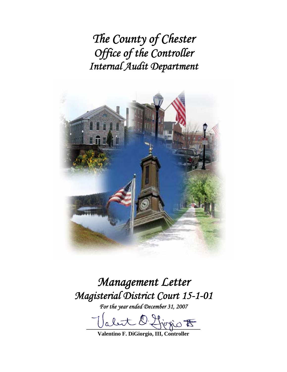*The County of Chester Office of the Controller Internal Audit Department* 



# *Management Letter Magisterial District Court 15-1-01*

*For the year ended December 31, 2007* 

abut D. first  $E$ 

**Valentino F. DiGiorgio, III, Controller**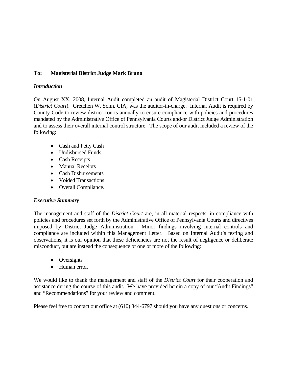## **To: Magisterial District Judge Mark Bruno**

#### *Introduction*

On August XX, 2008, Internal Audit completed an audit of Magisterial District Court 15-1-01 (*District Court*). Gretchen W. Sohn, CIA, was the auditor-in-charge. Internal Audit is required by County Code to review district courts annually to ensure compliance with policies and procedures mandated by the Administrative Office of Pennsylvania Courts and/or District Judge Administration and to assess their overall internal control structure. The scope of our audit included a review of the following:

- Cash and Petty Cash
- Undisbursed Funds
- Cash Receipts
- Manual Receipts
- Cash Disbursements
- Voided Transactions
- Overall Compliance.

## *Executive Summary*

The management and staff of the *District Court* are, in all material respects, in compliance with policies and procedures set forth by the Administrative Office of Pennsylvania Courts and directives imposed by District Judge Administration. Minor findings involving internal controls and compliance are included within this Management Letter. Based on Internal Audit's testing and observations, it is our opinion that these deficiencies are not the result of negligence or deliberate misconduct, but are instead the consequence of one or more of the following:

- Oversights
- Human error.

We would like to thank the management and staff of the *District Court* for their cooperation and assistance during the course of this audit. We have provided herein a copy of our "Audit Findings" and "Recommendations" for your review and comment.

Please feel free to contact our office at (610) 344-6797 should you have any questions or concerns.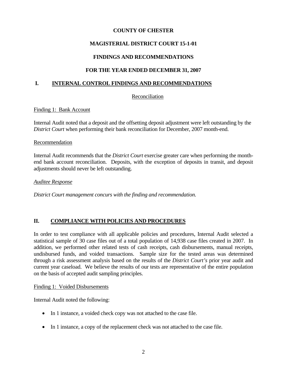## **COUNTY OF CHESTER**

# **MAGISTERIAL DISTRICT COURT 15-1-01**

## **FINDINGS AND RECOMMENDATIONS**

## **FOR THE YEAR ENDED DECEMBER 31, 2007**

## **I. INTERNAL CONTROL FINDINGS AND RECOMMENDATIONS**

#### Reconciliation

#### Finding 1: Bank Account

Internal Audit noted that a deposit and the offsetting deposit adjustment were left outstanding by the *District Court* when performing their bank reconciliation for December, 2007 month-end.

#### Recommendation

Internal Audit recommends that the *District Court* exercise greater care when performing the monthend bank account reconciliation. Deposits, with the exception of deposits in transit, and deposit adjustments should never be left outstanding.

#### *Auditee Response*

*District Court management concurs with the finding and recommendation.* 

## **II. COMPLIANCE WITH POLICIES AND PROCEDURES**

In order to test compliance with all applicable policies and procedures, Internal Audit selected a statistical sample of 30 case files out of a total population of 14,938 case files created in 2007. In addition, we performed other related tests of cash receipts, cash disbursements, manual receipts, undisbursed funds, and voided transactions. Sample size for the tested areas was determined through a risk assessment analysis based on the results of the *District Court's* prior year audit and current year caseload. We believe the results of our tests are representative of the entire population on the basis of accepted audit sampling principles.

#### Finding 1: Voided Disbursements

Internal Audit noted the following:

- In 1 instance, a voided check copy was not attached to the case file.
- In 1 instance, a copy of the replacement check was not attached to the case file.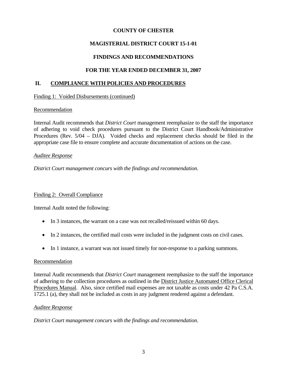## **COUNTY OF CHESTER**

# **MAGISTERIAL DISTRICT COURT 15-1-01**

# **FINDINGS AND RECOMMENDATIONS**

## **FOR THE YEAR ENDED DECEMBER 31, 2007**

#### **II. COMPLIANCE WITH POLICIES AND PROCEDURES**

Finding 1: Voided Disbursements (continued)

#### Recommendation

Internal Audit recommends that *District Court* management reemphasize to the staff the importance of adhering to void check procedures pursuant to the District Court Handbook/Administrative Procedures (Rev. 5/04 – DJA). Voided checks and replacement checks should be filed in the appropriate case file to ensure complete and accurate documentation of actions on the case.

#### *Auditee Response*

*District Court management concurs with the findings and recommendation.* 

## Finding 2: Overall Compliance

Internal Audit noted the following:

- In 3 instances, the warrant on a case was not recalled/reissued within 60 days.
- In 2 instances, the certified mail costs were included in the judgment costs on civil cases.
- In 1 instance, a warrant was not issued timely for non-response to a parking summons.

#### Recommendation

Internal Audit recommends that *District Court* management reemphasize to the staff the importance of adhering to the collection procedures as outlined in the District Justice Automated Office Clerical Procedures Manual. Also, since certified mail expenses are not taxable as costs under 42 Pa C.S.A. 1725.1 (a), they shall not be included as costs in any judgment rendered against a defendant.

#### *Auditee Response*

*District Court management concurs with the findings and recommendation.*